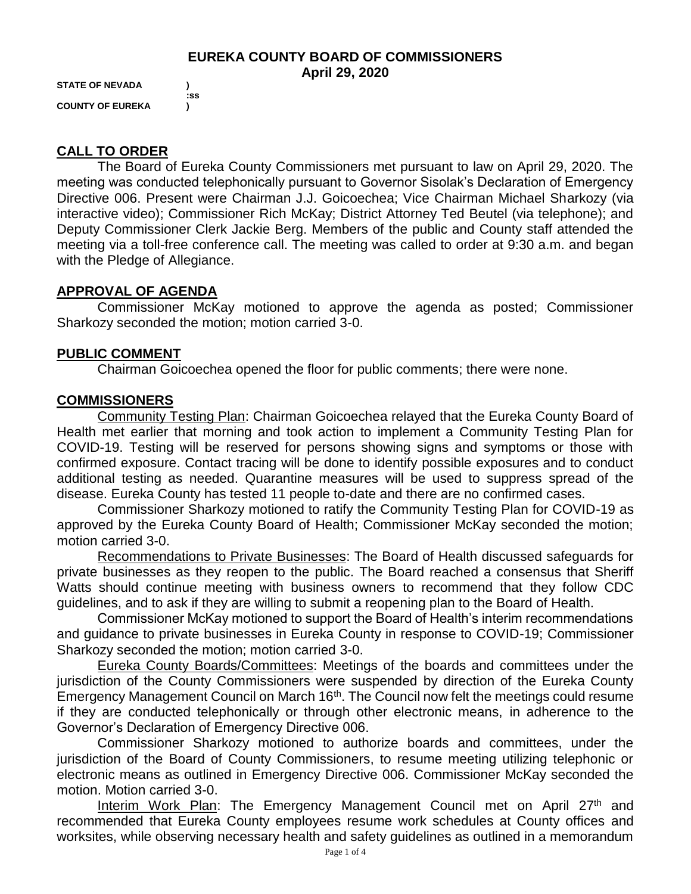### **EUREKA COUNTY BOARD OF COMMISSIONERS April 29, 2020**

**STATE OF NEVADA ) COUNTY OF EUREKA )**

 **:ss**

# **CALL TO ORDER**

The Board of Eureka County Commissioners met pursuant to law on April 29, 2020. The meeting was conducted telephonically pursuant to Governor Sisolak's Declaration of Emergency Directive 006. Present were Chairman J.J. Goicoechea; Vice Chairman Michael Sharkozy (via interactive video); Commissioner Rich McKay; District Attorney Ted Beutel (via telephone); and Deputy Commissioner Clerk Jackie Berg. Members of the public and County staff attended the meeting via a toll-free conference call. The meeting was called to order at 9:30 a.m. and began with the Pledge of Allegiance.

## **APPROVAL OF AGENDA**

Commissioner McKay motioned to approve the agenda as posted; Commissioner Sharkozy seconded the motion; motion carried 3-0.

### **PUBLIC COMMENT**

Chairman Goicoechea opened the floor for public comments; there were none.

### **COMMISSIONERS**

Community Testing Plan: Chairman Goicoechea relayed that the Eureka County Board of Health met earlier that morning and took action to implement a Community Testing Plan for COVID-19. Testing will be reserved for persons showing signs and symptoms or those with confirmed exposure. Contact tracing will be done to identify possible exposures and to conduct additional testing as needed. Quarantine measures will be used to suppress spread of the disease. Eureka County has tested 11 people to-date and there are no confirmed cases.

Commissioner Sharkozy motioned to ratify the Community Testing Plan for COVID-19 as approved by the Eureka County Board of Health; Commissioner McKay seconded the motion; motion carried 3-0.

Recommendations to Private Businesses: The Board of Health discussed safeguards for private businesses as they reopen to the public. The Board reached a consensus that Sheriff Watts should continue meeting with business owners to recommend that they follow CDC guidelines, and to ask if they are willing to submit a reopening plan to the Board of Health.

Commissioner McKay motioned to support the Board of Health's interim recommendations and guidance to private businesses in Eureka County in response to COVID-19; Commissioner Sharkozy seconded the motion; motion carried 3-0.

Eureka County Boards/Committees: Meetings of the boards and committees under the jurisdiction of the County Commissioners were suspended by direction of the Eureka County Emergency Management Council on March 16<sup>th</sup>. The Council now felt the meetings could resume if they are conducted telephonically or through other electronic means, in adherence to the Governor's Declaration of Emergency Directive 006.

Commissioner Sharkozy motioned to authorize boards and committees, under the jurisdiction of the Board of County Commissioners, to resume meeting utilizing telephonic or electronic means as outlined in Emergency Directive 006. Commissioner McKay seconded the motion. Motion carried 3-0.

Interim Work Plan: The Emergency Management Council met on April 27<sup>th</sup> and recommended that Eureka County employees resume work schedules at County offices and worksites, while observing necessary health and safety guidelines as outlined in a memorandum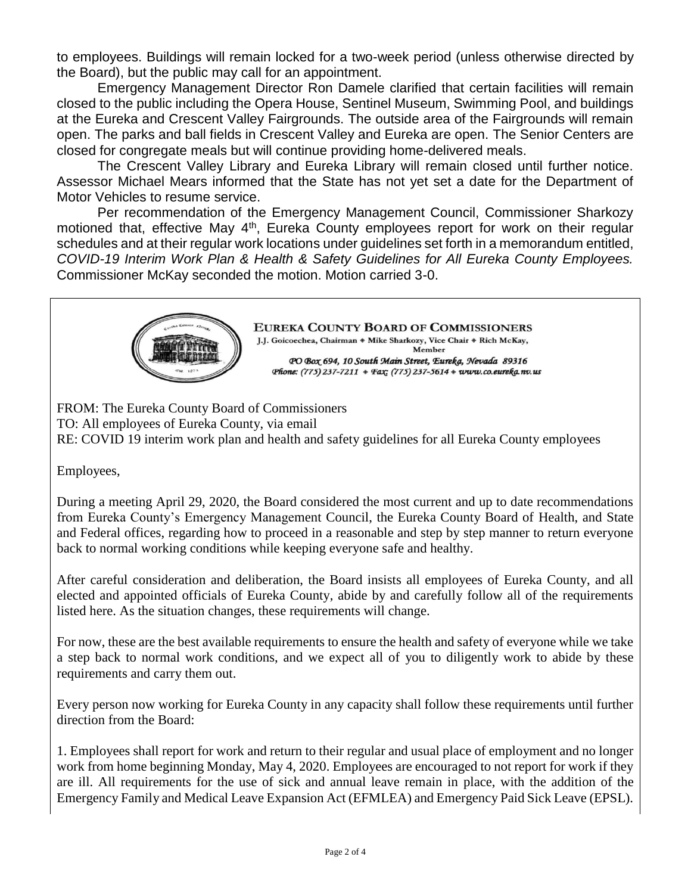to employees. Buildings will remain locked for a two-week period (unless otherwise directed by the Board), but the public may call for an appointment.

Emergency Management Director Ron Damele clarified that certain facilities will remain closed to the public including the Opera House, Sentinel Museum, Swimming Pool, and buildings at the Eureka and Crescent Valley Fairgrounds. The outside area of the Fairgrounds will remain open. The parks and ball fields in Crescent Valley and Eureka are open. The Senior Centers are closed for congregate meals but will continue providing home-delivered meals.

The Crescent Valley Library and Eureka Library will remain closed until further notice. Assessor Michael Mears informed that the State has not yet set a date for the Department of Motor Vehicles to resume service.

Per recommendation of the Emergency Management Council, Commissioner Sharkozy motioned that, effective May 4<sup>th</sup>, Eureka County employees report for work on their regular schedules and at their regular work locations under guidelines set forth in a memorandum entitled, *COVID-19 Interim Work Plan & Health & Safety Guidelines for All Eureka County Employees.*  Commissioner McKay seconded the motion. Motion carried 3-0.



**EUREKA COUNTY BOARD OF COMMISSIONERS** 

J.J. Goicoechea, Chairman \* Mike Sharkozy, Vice Chair \* Rich McKay, Member PO Box 694, 10 South Main Street, Eureka, Nevada 89316 Phone: (775) 237-7211 + Fax; (775) 237-5614 + www.co.eureka.nv.us

FROM: The Eureka County Board of Commissioners TO: All employees of Eureka County, via email RE: COVID 19 interim work plan and health and safety guidelines for all Eureka County employees

Employees,

During a meeting April 29, 2020, the Board considered the most current and up to date recommendations from Eureka County's Emergency Management Council, the Eureka County Board of Health, and State and Federal offices, regarding how to proceed in a reasonable and step by step manner to return everyone back to normal working conditions while keeping everyone safe and healthy.

After careful consideration and deliberation, the Board insists all employees of Eureka County, and all elected and appointed officials of Eureka County, abide by and carefully follow all of the requirements listed here. As the situation changes, these requirements will change.

For now, these are the best available requirements to ensure the health and safety of everyone while we take a step back to normal work conditions, and we expect all of you to diligently work to abide by these requirements and carry them out.

Every person now working for Eureka County in any capacity shall follow these requirements until further direction from the Board:

1. Employees shall report for work and return to their regular and usual place of employment and no longer work from home beginning Monday, May 4, 2020. Employees are encouraged to not report for work if they are ill. All requirements for the use of sick and annual leave remain in place, with the addition of the Emergency Family and Medical Leave Expansion Act (EFMLEA) and Emergency Paid Sick Leave (EPSL).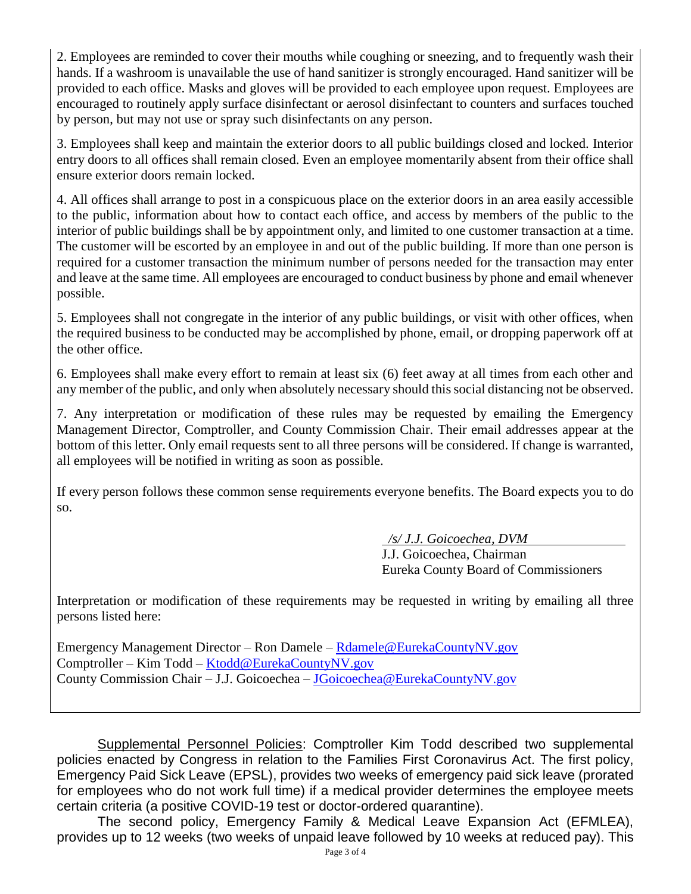2. Employees are reminded to cover their mouths while coughing or sneezing, and to frequently wash their hands. If a washroom is unavailable the use of hand sanitizer is strongly encouraged. Hand sanitizer will be provided to each office. Masks and gloves will be provided to each employee upon request. Employees are encouraged to routinely apply surface disinfectant or aerosol disinfectant to counters and surfaces touched by person, but may not use or spray such disinfectants on any person.

3. Employees shall keep and maintain the exterior doors to all public buildings closed and locked. Interior entry doors to all offices shall remain closed. Even an employee momentarily absent from their office shall ensure exterior doors remain locked.

4. All offices shall arrange to post in a conspicuous place on the exterior doors in an area easily accessible to the public, information about how to contact each office, and access by members of the public to the interior of public buildings shall be by appointment only, and limited to one customer transaction at a time. The customer will be escorted by an employee in and out of the public building. If more than one person is required for a customer transaction the minimum number of persons needed for the transaction may enter and leave at the same time. All employees are encouraged to conduct business by phone and email whenever possible.

5. Employees shall not congregate in the interior of any public buildings, or visit with other offices, when the required business to be conducted may be accomplished by phone, email, or dropping paperwork off at the other office.

6. Employees shall make every effort to remain at least six (6) feet away at all times from each other and any member of the public, and only when absolutely necessary should thissocial distancing not be observed.

7. Any interpretation or modification of these rules may be requested by emailing the Emergency Management Director, Comptroller, and County Commission Chair. Their email addresses appear at the bottom of this letter. Only email requests sent to all three persons will be considered. If change is warranted, all employees will be notified in writing as soon as possible.

If every person follows these common sense requirements everyone benefits. The Board expects you to do so.

> */s/ J.J. Goicoechea, DVM* J.J. Goicoechea, Chairman Eureka County Board of Commissioners

Interpretation or modification of these requirements may be requested in writing by emailing all three persons listed here:

Emergency Management Director – Ron Damele – [Rdamele@EurekaCountyNV.gov](mailto:Rdamele@EurekaCountyNV.gov) Comptroller – Kim Todd – [Ktodd@EurekaCountyNV.gov](mailto:Ktodd@EurekaCountyNV.gov) County Commission Chair – J.J. Goicoechea – [JGoicoechea@EurekaCountyNV.gov](mailto:JGoicoechea@EurekaCountyNV.gov)

Supplemental Personnel Policies: Comptroller Kim Todd described two supplemental policies enacted by Congress in relation to the Families First Coronavirus Act. The first policy, Emergency Paid Sick Leave (EPSL), provides two weeks of emergency paid sick leave (prorated for employees who do not work full time) if a medical provider determines the employee meets certain criteria (a positive COVID-19 test or doctor-ordered quarantine).

The second policy, Emergency Family & Medical Leave Expansion Act (EFMLEA), provides up to 12 weeks (two weeks of unpaid leave followed by 10 weeks at reduced pay). This